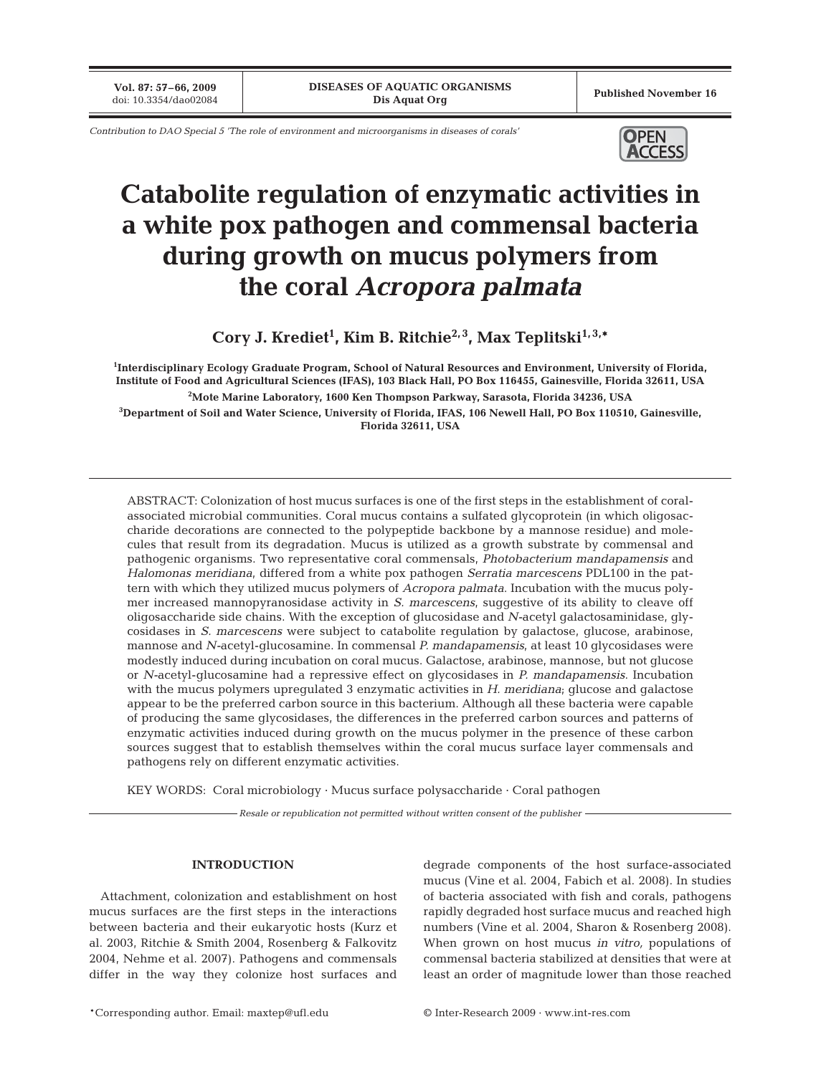**Vol. 87: 57–66, 2009**

*Contribution to DAO Special 5 'The role of environment and microorganisms in diseases of corals'*



# **Catabolite regulation of enzymatic activities in a white pox pathogen and commensal bacteria during growth on mucus polymers from the coral** *Acropora palmata*

**Cory J. Krediet1 , Kim B. Ritchie2, 3, Max Teplitski1, 3,\***

**1 Interdisciplinary Ecology Graduate Program, School of Natural Resources and Environment, University of Florida, Institute of Food and Agricultural Sciences (IFAS), 103 Black Hall, PO Box 116455, Gainesville, Florida 32611, USA 2 Mote Marine Laboratory, 1600 Ken Thompson Parkway, Sarasota, Florida 34236, USA 3 Department of Soil and Water Science, University of Florida, IFAS, 106 Newell Hall, PO Box 110510, Gainesville, Florida 32611, USA**

ABSTRACT: Colonization of host mucus surfaces is one of the first steps in the establishment of coralassociated microbial communities. Coral mucus contains a sulfated glycoprotein (in which oligosaccharide decorations are connected to the polypeptide backbone by a mannose residue) and molecules that result from its degradation. Mucus is utilized as a growth substrate by commensal and pathogenic organisms. Two representative coral commensals, *Photobacterium mandapamensis* and *Halomonas meridiana*, differed from a white pox pathogen *Serratia marcescens* PDL100 in the pattern with which they utilized mucus polymers of *Acropora palmata*. Incubation with the mucus polymer increased mannopyranosidase activity in *S. marcescens*, suggestive of its ability to cleave off oligosaccharide side chains. With the exception of glucosidase and *N-*acetyl galactosaminidase, glycosidases in *S. marcescens* were subject to catabolite regulation by galactose, glucose, arabinose, mannose and *N-*acetyl-glucosamine. In commensal *P. mandapamensis*, at least 10 glycosidases were modestly induced during incubation on coral mucus. Galactose, arabinose, mannose, but not glucose or *N-*acetyl-glucosamine had a repressive effect on glycosidases in *P. mandapamensis*. Incubation with the mucus polymers upregulated 3 enzymatic activities in *H. meridiana*; glucose and galactose appear to be the preferred carbon source in this bacterium. Although all these bacteria were capable of producing the same glycosidases, the differences in the preferred carbon sources and patterns of enzymatic activities induced during growth on the mucus polymer in the presence of these carbon sources suggest that to establish themselves within the coral mucus surface layer commensals and pathogens rely on different enzymatic activities.

KEY WORDS: Coral microbiology · Mucus surface polysaccharide · Coral pathogen

*Resale or republication not permitted without written consent of the publisher*

## **INTRODUCTION**

Attachment, colonization and establishment on host mucus surfaces are the first steps in the interactions between bacteria and their eukaryotic hosts (Kurz et al. 2003, Ritchie & Smith 2004, Rosenberg & Falkovitz 2004, Nehme et al. 2007). Pathogens and commensals differ in the way they colonize host surfaces and degrade components of the host surface-associated mucus (Vine et al. 2004, Fabich et al. 2008). In studies of bacteria associated with fish and corals, pathogens rapidly degraded host surface mucus and reached high numbers (Vine et al. 2004, Sharon & Rosenberg 2008). When grown on host mucus *in vitro,* populations of commensal bacteria stabilized at densities that were at least an order of magnitude lower than those reached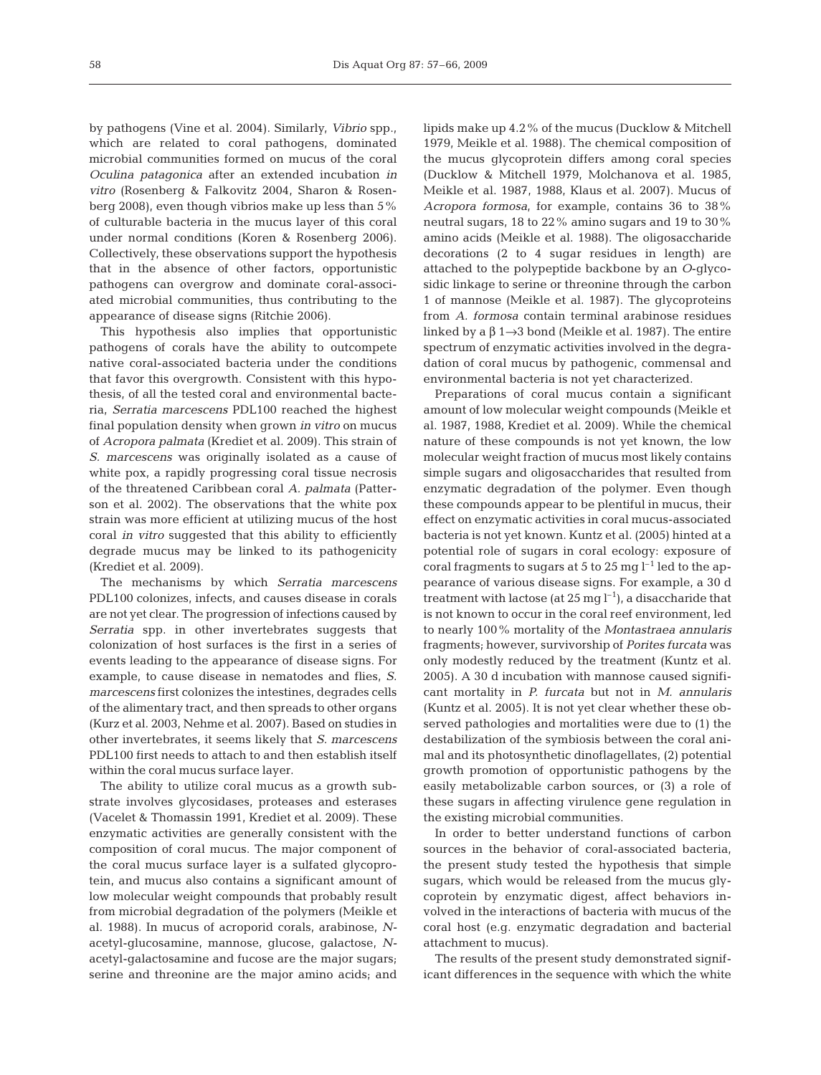by pathogens (Vine et al. 2004). Similarly, *Vibrio* spp., which are related to coral pathogens, dominated microbial communities formed on mucus of the coral *Oculina patagonica* after an extended incubation *in vitro* (Rosenberg & Falkovitz 2004, Sharon & Rosenberg 2008), even though vibrios make up less than 5% of culturable bacteria in the mucus layer of this coral under normal conditions (Koren & Rosenberg 2006). Collectively, these observations support the hypothesis that in the absence of other factors, opportunistic pathogens can overgrow and dominate coral-associated microbial communities, thus contributing to the appearance of disease signs (Ritchie 2006).

This hypothesis also implies that opportunistic pathogens of corals have the ability to outcompete native coral-associated bacteria under the conditions that favor this overgrowth. Consistent with this hypothesis, of all the tested coral and environmental bacteria, *Serratia marcescens* PDL100 reached the highest final population density when grown *in vitro* on mucus of *Acropora palmata* (Krediet et al. 2009). This strain of *S. marcescens* was originally isolated as a cause of white pox, a rapidly progressing coral tissue necrosis of the threatened Caribbean coral *A. palmata* (Patterson et al. 2002). The observations that the white pox strain was more efficient at utilizing mucus of the host coral *in vitro* suggested that this ability to efficiently degrade mucus may be linked to its pathogenicity (Krediet et al. 2009).

The mechanisms by which *Serratia marcescens* PDL100 colonizes, infects, and causes disease in corals are not yet clear. The progression of infections caused by *Serratia* spp. in other invertebrates suggests that colonization of host surfaces is the first in a series of events leading to the appearance of disease signs. For example, to cause disease in nematodes and flies, *S. marcescens* first colonizes the intestines, degrades cells of the alimentary tract, and then spreads to other organs (Kurz et al. 2003, Nehme et al. 2007). Based on studies in other invertebrates, it seems likely that *S. marcescens* PDL100 first needs to attach to and then establish itself within the coral mucus surface layer.

The ability to utilize coral mucus as a growth substrate involves glycosidases, proteases and esterases (Vacelet & Thomassin 1991, Krediet et al. 2009). These enzymatic activities are generally consistent with the composition of coral mucus. The major component of the coral mucus surface layer is a sulfated glycoprotein, and mucus also contains a significant amount of low molecular weight compounds that probably result from microbial degradation of the polymers (Meikle et al. 1988). In mucus of acroporid corals, arabinose, *N*acetyl-glucosamine, mannose, glucose, galactose, *N*acetyl-galactosamine and fucose are the major sugars; serine and threonine are the major amino acids; and lipids make up 4.2% of the mucus (Ducklow & Mitchell 1979, Meikle et al. 1988). The chemical composition of the mucus glycoprotein differs among coral species (Ducklow & Mitchell 1979, Molchanova et al. 1985, Meikle et al. 1987, 1988, Klaus et al. 2007). Mucus of *Acropora formosa*, for example, contains 36 to 38% neutral sugars, 18 to 22% amino sugars and 19 to 30% amino acids (Meikle et al. 1988). The oligosaccharide decorations (2 to 4 sugar residues in length) are attached to the polypeptide backbone by an *O*-glycosidic linkage to serine or threonine through the carbon 1 of mannose (Meikle et al. 1987). The glycoproteins from *A. formosa* contain terminal arabinose residues linked by a  $\beta$  1→3 bond (Meikle et al. 1987). The entire spectrum of enzymatic activities involved in the degradation of coral mucus by pathogenic, commensal and environmental bacteria is not yet characterized.

Preparations of coral mucus contain a significant amount of low molecular weight compounds (Meikle et al. 1987, 1988, Krediet et al. 2009). While the chemical nature of these compounds is not yet known, the low molecular weight fraction of mucus most likely contains simple sugars and oligosaccharides that resulted from enzymatic degradation of the polymer. Even though these compounds appear to be plentiful in mucus, their effect on enzymatic activities in coral mucus-associated bacteria is not yet known. Kuntz et al. (2005) hinted at a potential role of sugars in coral ecology: exposure of coral fragments to sugars at 5 to 25 mg  $l^{-1}$  led to the appearance of various disease signs. For example, a 30 d treatment with lactose (at  $25 \text{ mg } l^{-1}$ ), a disaccharide that is not known to occur in the coral reef environment, led to nearly 100% mortality of the *Montastraea annularis* fragments; however, survivorship of *Porites furcata* was only modestly reduced by the treatment (Kuntz et al. 2005). A 30 d incubation with mannose caused significant mortality in *P. furcata* but not in *M. annularis* (Kuntz et al. 2005). It is not yet clear whether these observed pathologies and mortalities were due to (1) the destabilization of the symbiosis between the coral animal and its photosynthetic dinoflagellates, (2) potential growth promotion of opportunistic pathogens by the easily metabolizable carbon sources, or (3) a role of these sugars in affecting virulence gene regulation in the existing microbial communities.

In order to better understand functions of carbon sources in the behavior of coral-associated bacteria, the present study tested the hypothesis that simple sugars, which would be released from the mucus glycoprotein by enzymatic digest, affect behaviors involved in the interactions of bacteria with mucus of the coral host (e.g. enzymatic degradation and bacterial attachment to mucus).

The results of the present study demonstrated significant differences in the sequence with which the white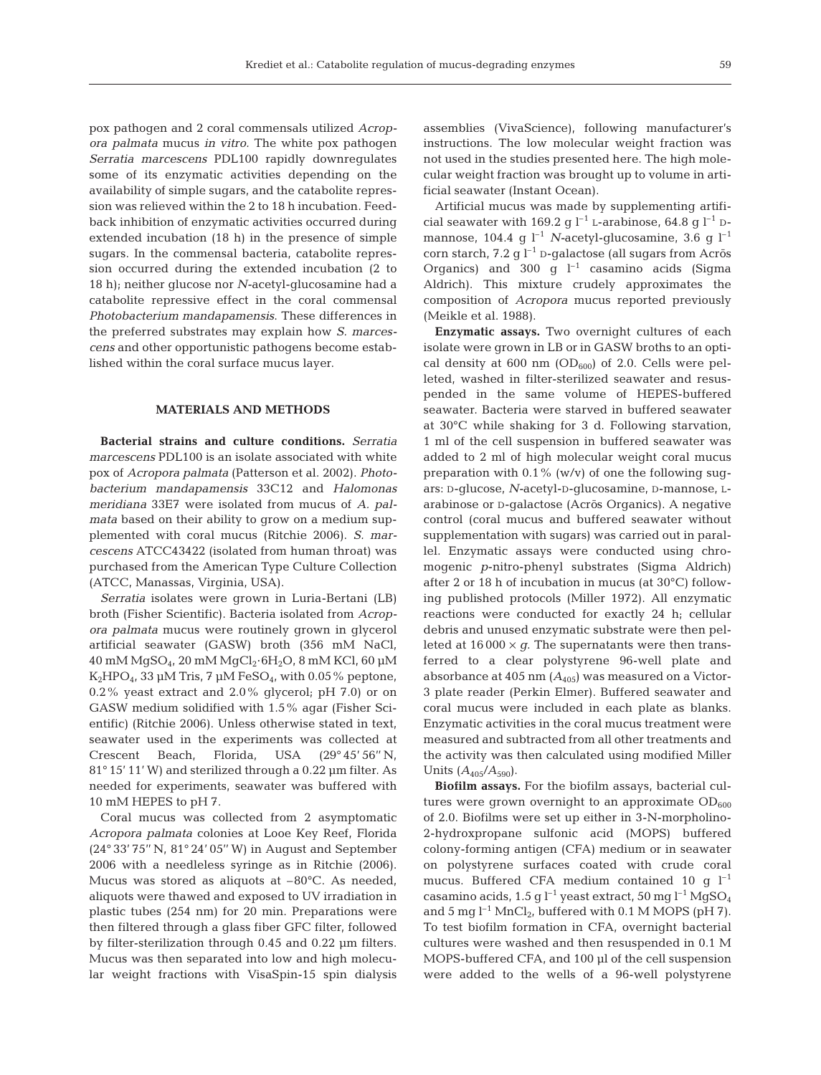pox pathogen and 2 coral commensals utilized *Acropora palmata* mucus *in vitro.* The white pox pathogen *Serratia marcescens* PDL100 rapidly downregulates some of its enzymatic activities depending on the availability of simple sugars, and the catabolite repression was relieved within the 2 to 18 h incubation. Feed-

back inhibition of enzymatic activities occurred during extended incubation (18 h) in the presence of simple sugars. In the commensal bacteria, catabolite repression occurred during the extended incubation (2 to 18 h); neither glucose nor *N-*acetyl-glucosamine had a catabolite repressive effect in the coral commensal *Photobacterium mandapamensis*. These differences in the preferred substrates may explain how *S. marcescens* and other opportunistic pathogens become established within the coral surface mucus layer.

### **MATERIALS AND METHODS**

**Bacterial strains and culture conditions.** *Serratia marcescens* PDL100 is an isolate associated with white pox of *Acropora palmata* (Patterson et al. 2002). *Photobacterium mandapamensis* 33C12 and *Halomonas meridiana* 33E7 were isolated from mucus of *A. palmata* based on their ability to grow on a medium supplemented with coral mucus (Ritchie 2006). *S. marcescens* ATCC43422 (isolated from human throat) was purchased from the American Type Culture Collection (ATCC, Manassas, Virginia, USA).

*Serratia* isolates were grown in Luria-Bertani (LB) broth (Fisher Scientific). Bacteria isolated from *Acropora palmata* mucus were routinely grown in glycerol artificial seawater (GASW) broth (356 mM NaCl, 40 mM MgSO4, 20 mM MgCl2·6H2O, 8 mM KCl, 60 µM  $K_2HPO_4$ , 33 µM Tris, 7 µM FeSO<sub>4</sub>, with 0.05% peptone, 0.2% yeast extract and 2.0% glycerol; pH 7.0) or on GASW medium solidified with 1.5% agar (Fisher Scientific) (Ritchie 2006). Unless otherwise stated in text, seawater used in the experiments was collected at Crescent Beach, Florida, USA (29° 45' 56'' N, 81° 15' 11' W) and sterilized through a 0.22 µm filter. As needed for experiments, seawater was buffered with 10 mM HEPES to pH 7.

Coral mucus was collected from 2 asymptomatic *Acropora palmata* colonies at Looe Key Reef, Florida (24° 33' 75'' N, 81° 24' 05'' W) in August and September 2006 with a needleless syringe as in Ritchie (2006). Mucus was stored as aliquots at –80°C. As needed, aliquots were thawed and exposed to UV irradiation in plastic tubes (254 nm) for 20 min. Preparations were then filtered through a glass fiber GFC filter, followed by filter-sterilization through 0.45 and 0.22 µm filters. Mucus was then separated into low and high molecular weight fractions with VisaSpin-15 spin dialysis assemblies (VivaScience), following manufacturer's instructions. The low molecular weight fraction was not used in the studies presented here. The high molecular weight fraction was brought up to volume in artificial seawater (Instant Ocean).

Artificial mucus was made by supplementing artificial seawater with 169.2 g  $l^{-1}$  L-arabinose, 64.8 g  $l^{-1}$  Dmannose, 104.4 g l<sup>-1</sup> *N*-acetyl-glucosamine, 3.6 g l<sup>-1</sup> corn starch, 7.2 g  $l^{-1}$  D-galactose (all sugars from Acros Organics) and 300 g  $l^{-1}$  casamino acids (Sigma Aldrich). This mixture crudely approximates the composition of *Acropora* mucus reported previously (Meikle et al. 1988).

**Enzymatic assays.** Two overnight cultures of each isolate were grown in LB or in GASW broths to an optical density at 600 nm  $(OD_{600})$  of 2.0. Cells were pelleted, washed in filter-sterilized seawater and resuspended in the same volume of HEPES-buffered seawater. Bacteria were starved in buffered seawater at 30°C while shaking for 3 d. Following starvation, 1 ml of the cell suspension in buffered seawater was added to 2 ml of high molecular weight coral mucus preparation with  $0.1\%$  (w/v) of one the following sugars: D-glucose, *N-*acetyl-D-glucosamine, D-mannose, Larabinose or D-galactose (Acros Organics). A negative control (coral mucus and buffered seawater without supplementation with sugars) was carried out in parallel. Enzymatic assays were conducted using chromogenic *p*-nitro-phenyl substrates (Sigma Aldrich) after 2 or 18 h of incubation in mucus (at 30°C) following published protocols (Miller 1972). All enzymatic reactions were conducted for exactly 24 h; cellular debris and unused enzymatic substrate were then pelleted at  $16000 \times g$ . The supernatants were then transferred to a clear polystyrene 96-well plate and absorbance at  $405 \text{ nm}$  ( $A_{405}$ ) was measured on a Victor-3 plate reader (Perkin Elmer). Buffered seawater and coral mucus were included in each plate as blanks. Enzymatic activities in the coral mucus treatment were measured and subtracted from all other treatments and the activity was then calculated using modified Miller Units  $(A_{405}/A_{590})$ .

**Biofilm assays.** For the biofilm assays, bacterial cultures were grown overnight to an approximate  $OD_{600}$ of 2.0. Biofilms were set up either in 3-N-morpholino-2-hydroxpropane sulfonic acid (MOPS) buffered colony-forming antigen (CFA) medium or in seawater on polystyrene surfaces coated with crude coral mucus. Buffered CFA medium contained 10 g  $l^{-1}$ casamino acids, 1.5 g  $l^{-1}$  yeast extract, 50 mg  $l^{-1}$  MgSO<sub>4</sub> and 5 mg  $l^{-1}$  MnCl<sub>2</sub>, buffered with 0.1 M MOPS (pH 7). To test biofilm formation in CFA, overnight bacterial cultures were washed and then resuspended in 0.1 M MOPS-buffered CFA, and 100 µl of the cell suspension were added to the wells of a 96-well polystyrene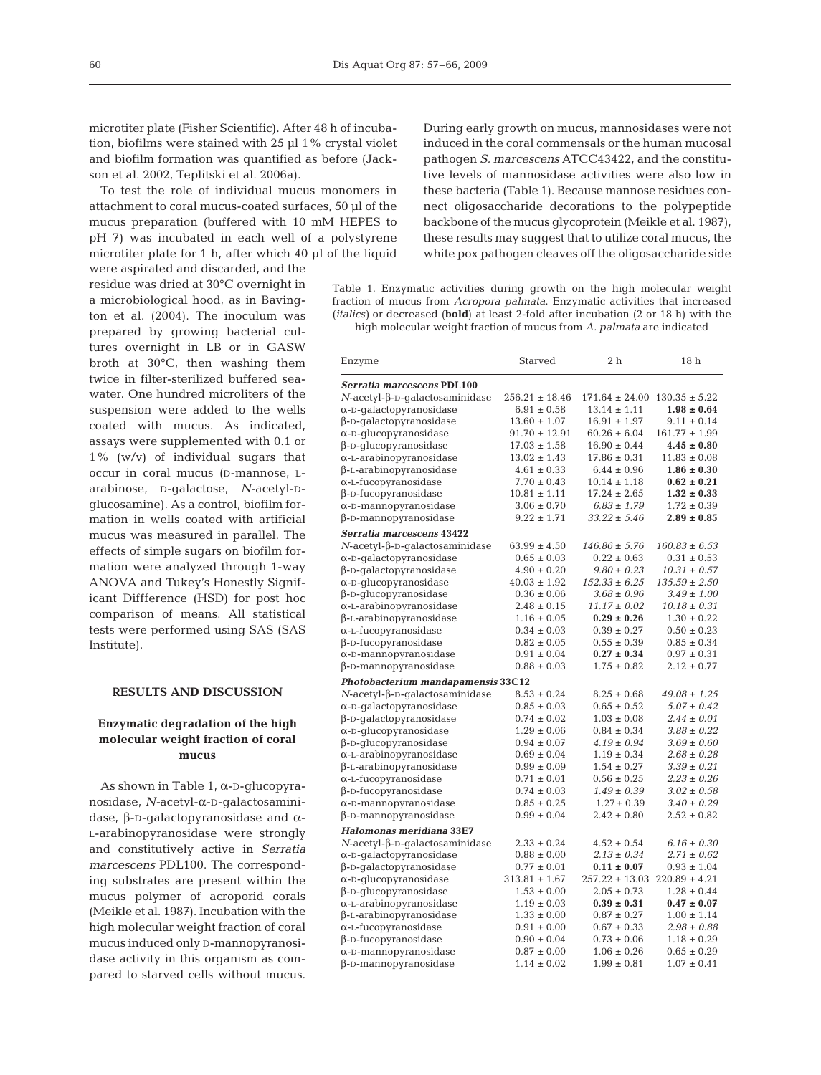microtiter plate (Fisher Scientific). After 48 h of incubation, biofilms were stained with 25 µl 1% crystal violet and biofilm formation was quantified as before (Jackson et al. 2002, Teplitski et al. 2006a).

To test the role of individual mucus monomers in attachment to coral mucus-coated surfaces, 50 µl of the mucus preparation (buffered with 10 mM HEPES to pH 7) was incubated in each well of a polystyrene microtiter plate for 1 h, after which 40 µl of the liquid

were aspirated and discarded, and the residue was dried at 30°C overnight in a microbiological hood, as in Bavington et al. (2004). The inoculum was prepared by growing bacterial cultures overnight in LB or in GASW broth at 30°C, then washing them twice in filter-sterilized buffered seawater. One hundred microliters of the suspension were added to the wells coated with mucus. As indicated, assays were supplemented with 0.1 or 1% (w/v) of individual sugars that occur in coral mucus (D-mannose, Larabinose, D-galactose, *N-*acetyl-Dglucosamine). As a control, biofilm formation in wells coated with artificial mucus was measured in parallel. The effects of simple sugars on biofilm formation were analyzed through 1-way ANOVA and Tukey's Honestly Significant Diffference (HSD) for post hoc comparison of means. All statistical tests were performed using SAS (SAS Institute).

#### **RESULTS AND DISCUSSION**

# **Enzymatic degradation of the high molecular weight fraction of coral mucus**

As shown in Table 1, α-D-glucopyranosidase, *N-*acetyl-α-D-galactosaminidase, β-D-galactopyranosidase and α-L-arabinopyranosidase were strongly and constitutively active in *Serratia marcescens* PDL100. The corresponding substrates are present within the mucus polymer of acroporid corals (Meikle et al. 1987). Incubation with the high molecular weight fraction of coral mucus induced only D-mannopyranosidase activity in this organism as compared to starved cells without mucus.

During early growth on mucus, mannosidases were not induced in the coral commensals or the human mucosal pathogen *S. marcescens* ATCC43422, and the constitutive levels of mannosidase activities were also low in these bacteria (Table 1). Because mannose residues connect oligosaccharide decorations to the polypeptide backbone of the mucus glycoprotein (Meikle et al. 1987), these results may suggest that to utilize coral mucus, the white pox pathogen cleaves off the oligosaccharide side

Table 1. Enzymatic activities during growth on the high molecular weight fraction of mucus from *Acropora palmata*. Enzymatic activities that increased (*italics)* or decreased (**bold**) at least 2-fold after incubation (2 or 18 h) with the high molecular weight fraction of mucus from *A. palmata* are indicated

| Enzyme                                                            | Starved                            | 2 <sub>h</sub>                     | 18 <sub>h</sub>                    |
|-------------------------------------------------------------------|------------------------------------|------------------------------------|------------------------------------|
| Serratia marcescens PDL100                                        |                                    |                                    |                                    |
| $N$ -acetyl- $\beta$ -D-galactosaminidase                         | $256.21 \pm 18.46$                 | $171.64 \pm 24.00$                 | $130.35 \pm 5.22$                  |
| $\alpha$ -D-galactopyranosidase                                   | $6.91 \pm 0.58$                    | $13.14 \pm 1.11$                   | $1.98 \pm 0.64$                    |
| $\beta$ -D-qalactopyranosidase                                    | $13.60 \pm 1.07$                   | $16.91 \pm 1.97$                   | $9.11 \pm 0.14$                    |
| $\alpha$ -D-glucopyranosidase                                     | $91.70 \pm 12.91$                  | $60.26 \pm 6.04$                   | $161.77 \pm 1.99$                  |
| $\beta$ -D-glucopyranosidase                                      | $17.03 \pm 1.58$                   | $16.90 \pm 0.44$                   | $4.45 \pm 0.80$                    |
| $\alpha$ -L-arabinopyranosidase                                   | $13.02 \pm 1.43$                   | $17.86 \pm 0.31$                   | $11.83 \pm 0.08$                   |
| $\beta$ -L-arabinopyranosidase                                    | $4.61 \pm 0.33$                    | $6.44 \pm 0.96$                    | $1.86 \pm 0.30$                    |
| $\alpha$ -L-fucopyranosidase                                      | $7.70 \pm 0.43$                    | $10.14 \pm 1.18$                   | $0.62 \pm 0.21$                    |
| $\beta$ -D-fucopyranosidase                                       | $10.81 \pm 1.11$                   | $17.24 \pm 2.65$                   | $1.32 \pm 0.33$                    |
| $\alpha$ -D-mannopyranosidase                                     | $3.06 \pm 0.70$                    | $6.83 \pm 1.79$                    | $1.72 \pm 0.39$                    |
| β-D-mannopyranosidase                                             | $9.22 \pm 1.71$                    | $33.22 \pm 5.46$                   | $2.89 \pm 0.85$                    |
| Serratia marcescens 43422                                         |                                    |                                    |                                    |
| $N$ -acetyl- $\beta$ -D-qalactosaminidase                         | $63.99 \pm 4.50$                   | $146.86 \pm 5.76$                  | $160.83 \pm 6.53$                  |
|                                                                   | $0.65 \pm 0.03$                    | $0.22 \pm 0.63$                    | $0.31 \pm 0.53$                    |
| $\alpha$ -D-galactopyranosidase<br>$\beta$ -D-galactopyranosidase | $4.90 \pm 0.20$                    | $9.80 \pm 0.23$                    | $10.31 \pm 0.57$                   |
| $\alpha$ -D-glucopyranosidase                                     | $40.03 \pm 1.92$                   | $152.33 \pm 6.25$                  | $135.59 \pm 2.50$                  |
| $\beta$ -D-glucopyranosidase                                      | $0.36 \pm 0.06$                    | $3.68 \pm 0.96$                    | $3.49 \pm 1.00$                    |
| $\alpha$ -L-arabinopyranosidase                                   | $2.48 \pm 0.15$                    | $11.17 \pm 0.02$                   | $10.18 \pm 0.31$                   |
| $\beta$ -L-arabinopyranosidase                                    | $1.16 \pm 0.05$                    | $0.29 \pm 0.26$                    | $1.30 \pm 0.22$                    |
| $\alpha$ -L-fucopyranosidase                                      | $0.34 \pm 0.03$                    | $0.39 \pm 0.27$                    | $0.50 \pm 0.23$                    |
| $\beta$ -D-fucopyranosidase                                       | $0.82 \pm 0.05$                    | $0.55 \pm 0.39$                    | $0.85 \pm 0.34$                    |
| $\alpha$ -D-mannopyranosidase                                     | $0.91 \pm 0.04$                    | $0.27 \pm 0.34$                    | $0.97 \pm 0.31$                    |
| $\beta$ -D-mannopyranosidase                                      | $0.88 \pm 0.03$                    | $1.75 \pm 0.82$                    | $2.12 \pm 0.77$                    |
|                                                                   |                                    |                                    |                                    |
| Photobacterium mandapamensis 33C12                                |                                    |                                    |                                    |
| $N$ -acetyl- $\beta$ -D-galactosaminidase                         | $8.53 \pm 0.24$                    | $8.25 \pm 0.68$                    | $49.08 \pm 1.25$                   |
| $\alpha$ -D-qalactopyranosidase                                   | $0.85 \pm 0.03$                    | $0.65 \pm 0.52$                    | $5.07 \pm 0.42$                    |
| $\beta$ -D-qalactopyranosidase                                    | $0.74 \pm 0.02$                    | $1.03 \pm 0.08$                    | $2.44 \pm 0.01$                    |
| $\alpha$ -D-qlucopyranosidase                                     | $1.29 \pm 0.06$<br>$0.94 \pm 0.07$ | $0.84 \pm 0.34$<br>$4.19 \pm 0.94$ | $3.88 \pm 0.22$<br>$3.69 \pm 0.60$ |
| $\beta$ -D-qlucopyranosidase                                      |                                    | $1.19 \pm 0.34$                    | $2.68 \pm 0.28$                    |
| $\alpha$ -L-arabinopyranosidase                                   | $0.69 \pm 0.04$<br>$0.99 \pm 0.09$ | $1.54 \pm 0.27$                    | $3.39 \pm 0.21$                    |
| $\beta$ -L-arabinopyranosidase                                    | $0.71 \pm 0.01$                    | $0.56 \pm 0.25$                    | $2.23 \pm 0.26$                    |
| $\alpha$ -L-fucopyranosidase                                      | $0.74 \pm 0.03$                    | $1.49 \pm 0.39$                    | $3.02 \pm 0.58$                    |
| $\beta$ -D-fucopyranosidase                                       | $0.85 \pm 0.25$                    | $1.27 \pm 0.39$                    | $3.40 \pm 0.29$                    |
| $\alpha$ -D-mannopyranosidase<br>$\beta$ -D-mannopyranosidase     | $0.99 \pm 0.04$                    | $2.42 \pm 0.80$                    | $2.52 \pm 0.82$                    |
|                                                                   |                                    |                                    |                                    |
| Halomonas meridiana 33E7                                          |                                    |                                    |                                    |
| $N$ -acetyl- $\beta$ -D-qalactosaminidase                         | $2.33 \pm 0.24$                    | $4.52 \pm 0.54$                    | $6.16 \pm 0.30$                    |
| $\alpha$ -D-galactopyranosidase                                   | $0.88 \pm 0.00$                    | $2.13 \pm 0.34$                    | $2.71 \pm 0.62$                    |
| $\beta$ -D-galactopyranosidase                                    | $0.77 \pm 0.01$                    | $0.11 \pm 0.07$                    | $0.93 \pm 1.04$                    |
| $\alpha$ -D-glucopyranosidase                                     | $313.81 \pm 1.67$                  | $257.22 \pm 13.03$                 | $220.89 \pm 4.21$                  |
| $\beta$ -D-qlucopyranosidase                                      | $1.53 \pm 0.00$                    | $2.05 \pm 0.73$                    | $1.28 \pm 0.44$                    |
| $\alpha$ -L-arabinopyranosidase                                   | $1.19 \pm 0.03$                    | $0.39 \pm 0.31$                    | $0.47 \pm 0.07$                    |
| $\beta$ -L-arabinopyranosidase                                    | $1.33 \pm 0.00$                    | $0.87 \pm 0.27$                    | $1.00 \pm 1.14$                    |
| $\alpha$ -L-fucopyranosidase                                      | $0.91 \pm 0.00$                    | $0.67 \pm 0.33$                    | $2.98 \pm 0.88$                    |
| $\beta$ -D-fucopyranosidase                                       | $0.90 \pm 0.04$                    | $0.73 \pm 0.06$                    | $1.18 \pm 0.29$                    |
| $\alpha$ -D-mannopyranosidase                                     | $0.87 \pm 0.00$                    | $1.06 \pm 0.26$                    | $0.65 \pm 0.29$                    |
| β-D-mannopyranosidase                                             | $1.14 \pm 0.02$                    | $1.99 \pm 0.81$                    | $1.07 \pm 0.41$                    |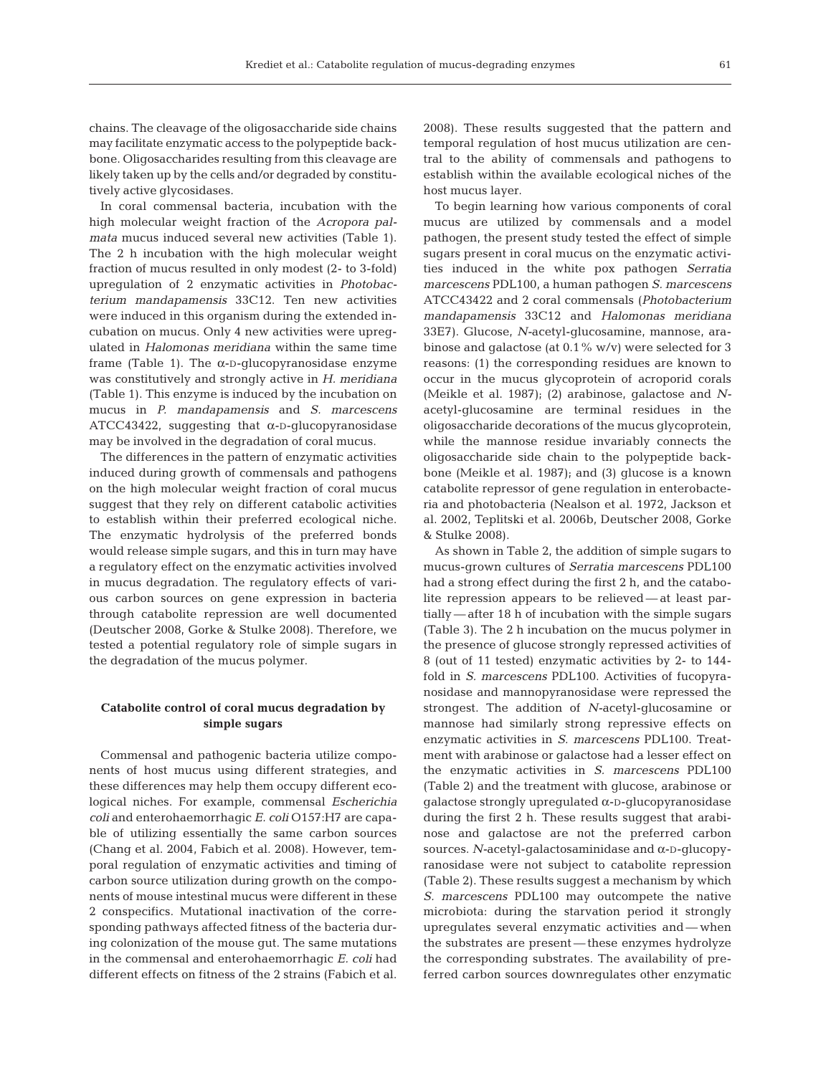chains. The cleavage of the oligosaccharide side chains may facilitate enzymatic access to the polypeptide backbone. Oligosaccharides resulting from this cleavage are likely taken up by the cells and/or degraded by constitutively active glycosidases.

In coral commensal bacteria, incubation with the high molecular weight fraction of the *Acropora palmata* mucus induced several new activities (Table 1). The 2 h incubation with the high molecular weight fraction of mucus resulted in only modest (2- to 3-fold) upregulation of 2 enzymatic activities in *Photobacterium mandapamensis* 33C12. Ten new activities were induced in this organism during the extended incubation on mucus. Only 4 new activities were upregulated in *Halomonas meridiana* within the same time frame (Table 1). The  $\alpha$ -D-qlucopyranosidase enzyme was constitutively and strongly active in *H. meridiana* (Table 1). This enzyme is induced by the incubation on mucus in *P. mandapamensis* and *S. marcescens* ATCC43422, suggesting that  $\alpha$ -D-glucopyranosidase may be involved in the degradation of coral mucus.

The differences in the pattern of enzymatic activities induced during growth of commensals and pathogens on the high molecular weight fraction of coral mucus suggest that they rely on different catabolic activities to establish within their preferred ecological niche. The enzymatic hydrolysis of the preferred bonds would release simple sugars, and this in turn may have a regulatory effect on the enzymatic activities involved in mucus degradation. The regulatory effects of various carbon sources on gene expression in bacteria through catabolite repression are well documented (Deutscher 2008, Gorke & Stulke 2008). Therefore, we tested a potential regulatory role of simple sugars in the degradation of the mucus polymer.

## **Catabolite control of coral mucus degradation by simple sugars**

Commensal and pathogenic bacteria utilize components of host mucus using different strategies, and these differences may help them occupy different ecological niches. For example, commensal *Escherichia coli* and enterohaemorrhagic *E. coli* O157:H7 are capable of utilizing essentially the same carbon sources (Chang et al. 2004, Fabich et al. 2008). However, temporal regulation of enzymatic activities and timing of carbon source utilization during growth on the components of mouse intestinal mucus were different in these 2 conspecifics. Mutational inactivation of the corresponding pathways affected fitness of the bacteria during colonization of the mouse gut. The same mutations in the commensal and enterohaemorrhagic *E. coli* had different effects on fitness of the 2 strains (Fabich et al. 2008). These results suggested that the pattern and temporal regulation of host mucus utilization are central to the ability of commensals and pathogens to establish within the available ecological niches of the host mucus layer.

To begin learning how various components of coral mucus are utilized by commensals and a model pathogen, the present study tested the effect of simple sugars present in coral mucus on the enzymatic activities induced in the white pox pathogen *Serratia marcescens* PDL100, a human pathogen *S. marcescens* ATCC43422 and 2 coral commensals (*Photobacterium mandapamensis* 33C12 and *Halomonas meridiana* 33E7). Glucose, *N-*acetyl-glucosamine, mannose, arabinose and galactose (at 0.1% w/v) were selected for 3 reasons: (1) the corresponding residues are known to occur in the mucus glycoprotein of acroporid corals (Meikle et al. 1987); (2) arabinose, galactose and *N*acetyl-glucosamine are terminal residues in the oligosaccharide decorations of the mucus glycoprotein, while the mannose residue invariably connects the oligosaccharide side chain to the polypeptide backbone (Meikle et al. 1987); and (3) glucose is a known catabolite repressor of gene regulation in enterobacteria and photobacteria (Nealson et al. 1972, Jackson et al. 2002, Teplitski et al. 2006b, Deutscher 2008, Gorke & Stulke 2008).

As shown in Table 2, the addition of simple sugars to mucus-grown cultures of *Serratia marcescens* PDL100 had a strong effect during the first 2 h, and the catabolite repression appears to be relieved — at least partially — after 18 h of incubation with the simple sugars (Table 3). The 2 h incubation on the mucus polymer in the presence of glucose strongly repressed activities of 8 (out of 11 tested) enzymatic activities by 2- to 144 fold in *S. marcescens* PDL100. Activities of fucopyranosidase and mannopyranosidase were repressed the strongest. The addition of *N-*acetyl-glucosamine or mannose had similarly strong repressive effects on enzymatic activities in *S. marcescens* PDL100. Treatment with arabinose or galactose had a lesser effect on the enzymatic activities in *S. marcescens* PDL100 (Table 2) and the treatment with glucose, arabinose or galactose strongly upregulated α-D-glucopyranosidase during the first 2 h. These results suggest that arabinose and galactose are not the preferred carbon sources. *N-*acetyl-galactosaminidase and α-D-glucopyranosidase were not subject to catabolite repression (Table 2). These results suggest a mechanism by which *S. marcescens* PDL100 may outcompete the native microbiota: during the starvation period it strongly upregulates several enzymatic activities and — when the substrates are present — these enzymes hydrolyze the corresponding substrates. The availability of preferred carbon sources downregulates other enzymatic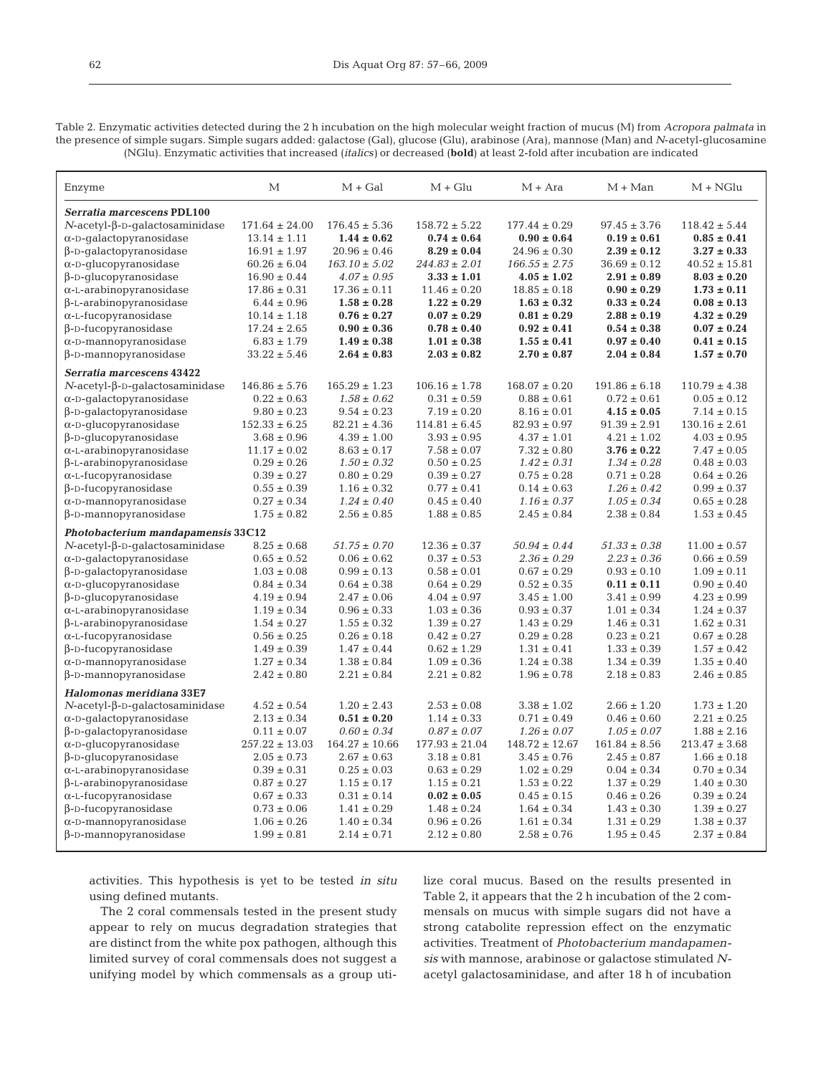62

Table 2. Enzymatic activities detected during the 2 h incubation on the high molecular weight fraction of mucus (M) from *Acropora palmata* in the presence of simple sugars. Simple sugars added: galactose (Gal), glucose (Glu), arabinose (Ara), mannose (Man) and *N*-acetyl-glucosamine (NGlu). Enzymatic activities that increased (*italics)* or decreased (**bold**) at least 2-fold after incubation are indicated

| Enzyme                                    | М                  | $M + Gal$          | $M + Glu$          | $M + Ara$          | $M + Man$         | $M + NGlu$        |
|-------------------------------------------|--------------------|--------------------|--------------------|--------------------|-------------------|-------------------|
| Serratia marcescens PDL100                |                    |                    |                    |                    |                   |                   |
| $N$ -acetyl- $\beta$ -D-qalactosaminidase | $171.64 \pm 24.00$ | $176.45 \pm 5.36$  | $158.72 \pm 5.22$  | $177.44 \pm 0.29$  | $97.45 \pm 3.76$  | $118.42 \pm 5.44$ |
| $\alpha$ -D-galactopyranosidase           | $13.14 \pm 1.11$   | $1.44 \pm 0.62$    | $0.74 \pm 0.64$    | $0.90 \pm 0.64$    | $0.19 \pm 0.61$   | $0.85 \pm 0.41$   |
| $\beta$ -D-qalactopyranosidase            | $16.91 \pm 1.97$   | $20.96 \pm 0.46$   | $8.29 \pm 0.04$    | $24.96 \pm 0.30$   | $2.39 \pm 0.12$   | $3.27 \pm 0.33$   |
| $\alpha$ -D-qlucopyranosidase             | $60.26 \pm 6.04$   | $163.10 \pm 5.02$  | $244.83 \pm 2.01$  | $166.55 \pm 2.75$  | $36.69 \pm 0.12$  | $40.52 \pm 15.81$ |
| $\beta$ -D-glucopyranosidase              | $16.90 \pm 0.44$   | $4.07 \pm 0.95$    | $3.33 \pm 1.01$    | $4.05 \pm 1.02$    | $2.91 \pm 0.89$   | $8.03 \pm 0.20$   |
| $\alpha$ -L-arabinopyranosidase           | $17.86 \pm 0.31$   | $17.36 \pm 0.11$   | $11.46 \pm 0.20$   | $18.85 \pm 0.18$   | $0.90 \pm 0.29$   | $1.73 \pm 0.11$   |
| $\beta$ -L-arabinopyranosidase            | $6.44 \pm 0.96$    | $1.58 \pm 0.28$    | $1.22 \pm 0.29$    | $1.63 \pm 0.32$    | $0.33 \pm 0.24$   | $0.08 \pm 0.13$   |
| $\alpha$ -L-fucopyranosidase              | $10.14 \pm 1.18$   | $0.76 \pm 0.27$    | $0.07 \pm 0.29$    | $0.81 \pm 0.29$    | $2.88 \pm 0.19$   | $4.32 \pm 0.29$   |
| $\beta$ -D-fucopyranosidase               | $17.24 \pm 2.65$   | $0.90 \pm 0.36$    | $0.78 \pm 0.40$    | $0.92 \pm 0.41$    | $0.54 \pm 0.38$   | $0.07 \pm 0.24$   |
| $\alpha$ -D-mannopyranosidase             | $6.83 \pm 1.79$    | $1.49 \pm 0.38$    | $1.01 \pm 0.38$    | $1.55 \pm 0.41$    | $0.97 \pm 0.40$   | $0.41 \pm 0.15$   |
| $\beta$ -D-mannopyranosidase              | $33.22 \pm 5.46$   | $2.64 \pm 0.83$    | $2.03 \pm 0.82$    | $2.70 \pm 0.87$    | $2.04 \pm 0.84$   | $1.57 \pm 0.70$   |
| Serratia marcescens 43422                 |                    |                    |                    |                    |                   |                   |
| $N$ -acetyl- $\beta$ -D-galactosaminidase | $146.86 \pm 5.76$  | $165.29 \pm 1.23$  | $106.16 \pm 1.78$  | $168.07 \pm 0.20$  | $191.86 \pm 6.18$ | $110.79 \pm 4.38$ |
| $\alpha$ -D-qalactopyranosidase           | $0.22 \pm 0.63$    | $1.58 \pm 0.62$    | $0.31 \pm 0.59$    | $0.88 \pm 0.61$    | $0.72 \pm 0.61$   | $0.05 \pm 0.12$   |
| $\beta$ -D-galactopyranosidase            | $9.80 \pm 0.23$    | $9.54 \pm 0.23$    | $7.19 \pm 0.20$    | $8.16 \pm 0.01$    | $4.15 \pm 0.05$   | $7.14 \pm 0.15$   |
| $\alpha$ -D-qlucopyranosidase             | $152.33 \pm 6.25$  | $82.21 \pm 4.36$   | $114.81 \pm 6.45$  | $82.93 \pm 0.97$   | $91.39 \pm 2.91$  | $130.16 \pm 2.61$ |
| $\beta$ -D-qlucopyranosidase              | $3.68 \pm 0.96$    | $4.39 \pm 1.00$    | $3.93 \pm 0.95$    | $4.37 \pm 1.01$    | $4.21 \pm 1.02$   | $4.03 \pm 0.95$   |
| $\alpha$ -L-arabinopyranosidase           | $11.17 \pm 0.02$   | $8.63 \pm 0.17$    | $7.58 \pm 0.07$    | $7.32 \pm 0.80$    | $3.76 \pm 0.22$   | $7.47 \pm 0.05$   |
| $\beta$ -L-arabinopyranosidase            | $0.29 \pm 0.26$    | $1.50 \pm 0.32$    | $0.50 \pm 0.25$    | $1.42 \pm 0.31$    | $1.34 \pm 0.28$   | $0.48 \pm 0.03$   |
| $\alpha$ -L-fucopyranosidase              | $0.39 \pm 0.27$    | $0.80 \pm 0.29$    | $0.39 \pm 0.27$    | $0.75 \pm 0.28$    | $0.71 \pm 0.28$   | $0.64 \pm 0.26$   |
| $\beta$ -D-fucopyranosidase               | $0.55 \pm 0.39$    | $1.16 \pm 0.32$    | $0.77 \pm 0.41$    | $0.14 \pm 0.63$    | $1.26 \pm 0.42$   | $0.99 \pm 0.37$   |
| $\alpha$ -D-mannopyranosidase             | $0.27 \pm 0.34$    | $1.24 \pm 0.40$    | $0.45 \pm 0.40$    | $1.16 \pm 0.37$    | $1.05 \pm 0.34$   | $0.65 \pm 0.28$   |
| $\beta$ -D-mannopyranosidase              | $1.75 \pm 0.82$    | $2.56 \pm 0.85$    | $1.88 \pm 0.85$    | $2.45 \pm 0.84$    | $2.38 \pm 0.84$   | $1.53 \pm 0.45$   |
| Photobacterium mandapamensis 33C12        |                    |                    |                    |                    |                   |                   |
| $N$ -acetyl- $\beta$ -D-qalactosaminidase | $8.25 \pm 0.68$    | $51.75 \pm 0.70$   | $12.36 \pm 0.37$   | $50.94 \pm 0.44$   | $51.33 \pm 0.38$  | $11.00 \pm 0.57$  |
| $\alpha$ -D-qalactopyranosidase           | $0.65 \pm 0.52$    | $0.06 \pm 0.62$    | $0.37 \pm 0.53$    | $2.36 \pm 0.29$    | $2.23 \pm 0.36$   | $0.66 \pm 0.59$   |
| $\beta$ -D-qalactopyranosidase            | $1.03 \pm 0.08$    | $0.99 \pm 0.13$    | $0.58 \pm 0.01$    | $0.67 \pm 0.29$    | $0.93 \pm 0.10$   | $1.09 \pm 0.11$   |
| $\alpha$ -D-glucopyranosidase             | $0.84 \pm 0.34$    | $0.64 \pm 0.38$    | $0.64 \pm 0.29$    | $0.52 \pm 0.35$    | $0.11 \pm 0.11$   | $0.90 \pm 0.40$   |
| $\beta$ -D-glucopyranosidase              | $4.19 \pm 0.94$    | $2.47 \pm 0.06$    | $4.04 \pm 0.97$    | $3.45 \pm 1.00$    | $3.41 \pm 0.99$   | $4.23 \pm 0.99$   |
| $\alpha$ -L-arabinopyranosidase           | $1.19 \pm 0.34$    | $0.96 \pm 0.33$    | $1.03 \pm 0.36$    | $0.93 \pm 0.37$    | $1.01 \pm 0.34$   | $1.24 \pm 0.37$   |
| $\beta$ -L-arabinopyranosidase            | $1.54 \pm 0.27$    | $1.55 \pm 0.32$    | $1.39 \pm 0.27$    | $1.43 \pm 0.29$    | $1.46 \pm 0.31$   | $1.62 \pm 0.31$   |
| $\alpha$ -L-fucopyranosidase              | $0.56 \pm 0.25$    | $0.26 \pm 0.18$    | $0.42 \pm 0.27$    | $0.29 \pm 0.28$    | $0.23 \pm 0.21$   | $0.67 \pm 0.28$   |
| $\beta$ -D-fucopyranosidase               | $1.49 \pm 0.39$    | $1.47 \pm 0.44$    | $0.62 \pm 1.29$    | $1.31 \pm 0.41$    | $1.33 \pm 0.39$   | $1.57 \pm 0.42$   |
| $\alpha$ -D-mannopyranosidase             | $1.27 \pm 0.34$    | $1.38 \pm 0.84$    | $1.09 \pm 0.36$    | $1.24 \pm 0.38$    | $1.34 \pm 0.39$   | $1.35 \pm 0.40$   |
| $\beta$ -D-mannopyranosidase              | $2.42 \pm 0.80$    | $2.21 \pm 0.84$    | $2.21 \pm 0.82$    | $1.96 \pm 0.78$    | $2.18 \pm 0.83$   | $2.46 \pm 0.85$   |
| Halomonas meridiana 33E7                  |                    |                    |                    |                    |                   |                   |
| $N$ -acetyl- $\beta$ -D-qalactosaminidase | $4.52 \pm 0.54$    | $1.20 \pm 2.43$    | $2.53 \pm 0.08$    | $3.38 \pm 1.02$    | $2.66 \pm 1.20$   | $1.73 \pm 1.20$   |
| $\alpha$ -D-galactopyranosidase           | $2.13 \pm 0.34$    | $0.51 \pm 0.20$    | $1.14 \pm 0.33$    | $0.71 \pm 0.49$    | $0.46 \pm 0.60$   | $2.21 \pm 0.25$   |
| $\beta$ -D-galactopyranosidase            | $0.11 \pm 0.07$    | $0.60 \pm 0.34$    | $0.87 \pm 0.07$    | $1.26 \pm 0.07$    | $1.05 \pm 0.07$   | $1.88 \pm 2.16$   |
| $\alpha$ -D-glucopyranosidase             | $257.22 \pm 13.03$ | $164.27 \pm 10.66$ | $177.93 \pm 21.04$ | $148.72 \pm 12.67$ | $161.84 \pm 8.56$ | $213.47 \pm 3.68$ |
| $\beta$ -D-qlucopyranosidase              | $2.05 \pm 0.73$    | $2.67 \pm 0.63$    | $3.18 \pm 0.81$    | $3.45 \pm 0.76$    | $2.45 \pm 0.87$   | $1.66 \pm 0.18$   |
| $\alpha$ -L-arabinopyranosidase           | $0.39 \pm 0.31$    | $0.25 \pm 0.03$    | $0.63 \pm 0.29$    | $1.02 \pm 0.29$    | $0.04 \pm 0.34$   | $0.70 \pm 0.34$   |
| $\beta$ -L-arabinopyranosidase            | $0.87 \pm 0.27$    | $1.15 \pm 0.17$    | $1.15 \pm 0.21$    | $1.53 \pm 0.22$    | $1.37 \pm 0.29$   | $1.40 \pm 0.30$   |
| $\alpha$ -L-fucopyranosidase              | $0.67 \pm 0.33$    | $0.31 \pm 0.14$    | $0.02 \pm 0.05$    | $0.45 \pm 0.15$    | $0.46 \pm 0.26$   | $0.39 \pm 0.24$   |
| $\beta$ -D-fucopyranosidase               | $0.73 \pm 0.06$    | $1.41 \pm 0.29$    | $1.48 \pm 0.24$    | $1.64 \pm 0.34$    | $1.43 \pm 0.30$   | $1.39 \pm 0.27$   |
| $\alpha$ -D-mannopyranosidase             | $1.06 \pm 0.26$    | $1.40 \pm 0.34$    | $0.96 \pm 0.26$    | $1.61 \pm 0.34$    | $1.31 \pm 0.29$   | $1.38 \pm 0.37$   |
| $\beta$ -D-mannopyranosidase              | $1.99 \pm 0.81$    | $2.14 \pm 0.71$    | $2.12 \pm 0.80$    | $2.58 \pm 0.76$    | $1.95 \pm 0.45$   | $2.37 \pm 0.84$   |

activities. This hypothesis is yet to be tested *in situ* using defined mutants.

The 2 coral commensals tested in the present study appear to rely on mucus degradation strategies that are distinct from the white pox pathogen, although this limited survey of coral commensals does not suggest a unifying model by which commensals as a group utilize coral mucus. Based on the results presented in Table 2, it appears that the 2 h incubation of the 2 commensals on mucus with simple sugars did not have a strong catabolite repression effect on the enzymatic activities. Treatment of *Photobacterium mandapamensis* with mannose, arabinose or galactose stimulated *N*acetyl galactosaminidase, and after 18 h of incubation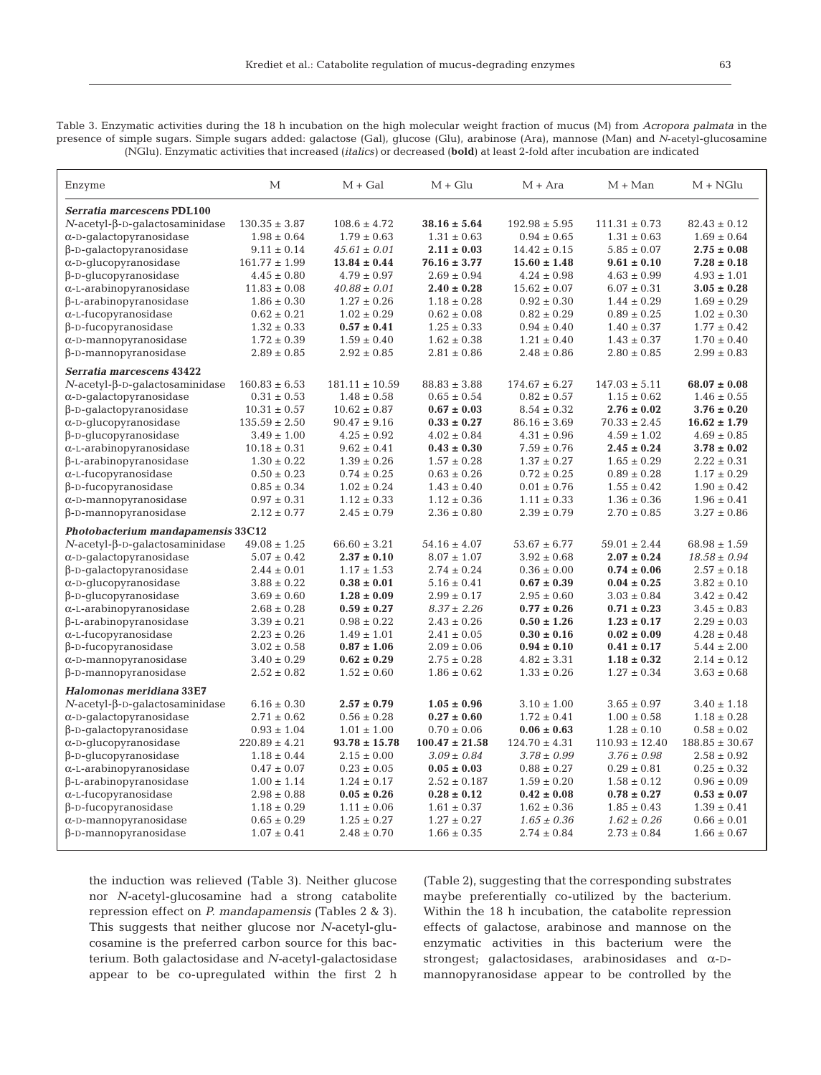Table 3. Enzymatic activities during the 18 h incubation on the high molecular weight fraction of mucus (M) from *Acropora palmata* in the presence of simple sugars. Simple sugars added: galactose (Gal), glucose (Glu), arabinose (Ara), mannose (Man) and *N*-acetyl-glucosamine (NGlu). Enzymatic activities that increased (*italics)* or decreased (**bold**) at least 2-fold after incubation are indicated

| Enzyme                                    | М                 | $M + Gal$          | $M + Glu$          | $M + Ara$         | $M + Man$          | $M + NGlu$         |
|-------------------------------------------|-------------------|--------------------|--------------------|-------------------|--------------------|--------------------|
| Serratia marcescens PDL100                |                   |                    |                    |                   |                    |                    |
| $N$ -acetyl- $\beta$ -D-qalactosaminidase | $130.35 \pm 3.87$ | $108.6 \pm 4.72$   | $38.16 \pm 5.64$   | $192.98 \pm 5.95$ | $111.31 \pm 0.73$  | $82.43 \pm 0.12$   |
| $\alpha$ -D-galactopyranosidase           | $1.98 \pm 0.64$   | $1.79 \pm 0.63$    | $1.31 \pm 0.63$    | $0.94 \pm 0.65$   | $1.31 \pm 0.63$    | $1.69 \pm 0.64$    |
| $\beta$ -D-galactopyranosidase            | $9.11 \pm 0.14$   | $45.61 \pm 0.01$   | $2.11 \pm 0.03$    | $14.42 \pm 0.15$  | $5.85 \pm 0.07$    | $2.75 \pm 0.08$    |
| $\alpha$ -D-glucopyranosidase             | $161.77 \pm 1.99$ | $13.84 \pm 0.44$   | $76.16 \pm 3.77$   | $15.60 \pm 1.48$  | $9.61 \pm 0.10$    | $7.28 \pm 0.18$    |
| $\beta$ -D-glucopyranosidase              | $4.45 \pm 0.80$   | $4.79 \pm 0.97$    | $2.69 \pm 0.94$    | $4.24 \pm 0.98$   | $4.63 \pm 0.99$    | $4.93 \pm 1.01$    |
| $\alpha$ -L-arabinopyranosidase           | $11.83 \pm 0.08$  | $40.88 \pm 0.01$   | $2.40 \pm 0.28$    | $15.62 \pm 0.07$  | $6.07 \pm 0.31$    | $3.05 \pm 0.28$    |
| $\beta$ -L-arabinopyranosidase            | $1.86 \pm 0.30$   | $1.27 \pm 0.26$    | $1.18 \pm 0.28$    | $0.92 \pm 0.30$   | $1.44 \pm 0.29$    | $1.69 \pm 0.29$    |
| $\alpha$ -L-fucopyranosidase              | $0.62 \pm 0.21$   | $1.02 \pm 0.29$    | $0.62 \pm 0.08$    | $0.82 \pm 0.29$   | $0.89 \pm 0.25$    | $1.02 \pm 0.30$    |
| $\beta$ -D-fucopyranosidase               | $1.32 \pm 0.33$   | $0.57 \pm 0.41$    | $1.25 \pm 0.33$    | $0.94 \pm 0.40$   | $1.40 \pm 0.37$    | $1.77 \pm 0.42$    |
| $\alpha$ -D-mannopyranosidase             | $1.72 \pm 0.39$   | $1.59 \pm 0.40$    | $1.62 \pm 0.38$    | $1.21 \pm 0.40$   | $1.43 \pm 0.37$    | $1.70 \pm 0.40$    |
| $\beta$ -D-mannopyranosidase              | $2.89 \pm 0.85$   | $2.92 \pm 0.85$    | $2.81 \pm 0.86$    | $2.48 \pm 0.86$   | $2.80 \pm 0.85$    | $2.99 \pm 0.83$    |
| Serratia marcescens 43422                 |                   |                    |                    |                   |                    |                    |
| $N$ -acetyl- $\beta$ -D-galactosaminidase | $160.83 \pm 6.53$ | $181.11 \pm 10.59$ | $88.83 \pm 3.88$   | $174.67 \pm 6.27$ | $147.03 \pm 5.11$  | $68.07 \pm 0.08$   |
| $\alpha$ -D-galactopyranosidase           | $0.31 \pm 0.53$   | $1.48 \pm 0.58$    | $0.65 \pm 0.54$    | $0.82 \pm 0.57$   | $1.15 \pm 0.62$    | $1.46 \pm 0.55$    |
| $\beta$ -D-galactopyranosidase            | $10.31 \pm 0.57$  | $10.62 \pm 0.87$   | $0.67 \pm 0.03$    | $8.54 \pm 0.32$   | $2.76 \pm 0.02$    | $3.76 \pm 0.20$    |
| $\alpha$ -D-glucopyranosidase             | $135.59 \pm 2.50$ | $90.47 \pm 9.16$   | $0.33 \pm 0.27$    | $86.16 \pm 3.69$  | $70.33 \pm 2.45$   | $16.62 \pm 1.79$   |
| $\beta$ -D-glucopyranosidase              | $3.49 \pm 1.00$   | $4.25 \pm 0.92$    | $4.02 \pm 0.84$    | $4.31 \pm 0.96$   | $4.59 \pm 1.02$    | $4.69 \pm 0.85$    |
| $\alpha$ -L-arabinopyranosidase           | $10.18 \pm 0.31$  | $9.62 \pm 0.41$    | $0.43 \pm 0.30$    | $7.59 \pm 0.76$   | $2.45 \pm 0.24$    | $3.78 \pm 0.02$    |
| $\beta$ -L-arabinopyranosidase            | $1.30 \pm 0.22$   | $1.39 \pm 0.26$    | $1.57 \pm 0.28$    | $1.37 \pm 0.27$   | $1.65 \pm 0.29$    | $2.22 \pm 0.31$    |
| $\alpha$ -L-fucopyranosidase              | $0.50 \pm 0.23$   | $0.74 \pm 0.25$    | $0.63\pm0.26$      | $0.72 \pm 0.25$   | $0.89 \pm 0.28$    | $1.17 \pm 0.29$    |
| $\beta$ -D-fucopyranosidase               | $0.85 \pm 0.34$   | $1.02 \pm 0.24$    | $1.43 \pm 0.40$    | $0.01 \pm 0.76$   | $1.55 \pm 0.42$    | $1.90 \pm 0.42$    |
| $\alpha$ -D-mannopyranosidase             | $0.97 \pm 0.31$   | $1.12 \pm 0.33$    | $1.12 \pm 0.36$    | $1.11 \pm 0.33$   | $1.36 \pm 0.36$    | $1.96 \pm 0.41$    |
| $\beta$ -D-mannopyranosidase              | $2.12 \pm 0.77$   | $2.45 \pm 0.79$    | $2.36 \pm 0.80$    | $2.39 \pm 0.79$   | $2.70 \pm 0.85$    | $3.27 \pm 0.86$    |
| Photobacterium mandapamensis 33C12        |                   |                    |                    |                   |                    |                    |
| $N$ -acetyl- $\beta$ -D-galactosaminidase | $49.08 \pm 1.25$  | $66.60 \pm 3.21$   | $54.16 \pm 4.07$   | $53.67 \pm 6.77$  | $59.01 \pm 2.44$   | $68.98 \pm 1.59$   |
| $\alpha$ -D-qalactopyranosidase           | $5.07 \pm 0.42$   | $2.37 \pm 0.10$    | $8.07 \pm 1.07$    | $3.92 \pm 0.68$   | $2.07 \pm 0.24$    | $18.58 \pm 0.94$   |
| $\beta$ -D-qalactopyranosidase            | $2.44 \pm 0.01$   | $1.17 \pm 1.53$    | $2.74 \pm 0.24$    | $0.36 \pm 0.00$   | $0.74 \pm 0.06$    | $2.57 \pm 0.18$    |
| $\alpha$ -D-qlucopyranosidase             | $3.88 \pm 0.22$   | $0.38 \pm 0.01$    | $5.16 \pm 0.41$    | $0.67 \pm 0.39$   | $0.04 \pm 0.25$    | $3.82 \pm 0.10$    |
| $\beta$ -D-qlucopyranosidase              | $3.69 \pm 0.60$   | $1.28 \pm 0.09$    | $2.99 \pm 0.17$    | $2.95 \pm 0.60$   | $3.03 \pm 0.84$    | $3.42 \pm 0.42$    |
| $\alpha$ -L-arabinopyranosidase           | $2.68 \pm 0.28$   | $0.59 \pm 0.27$    | $8.37 \pm 2.26$    | $0.77 \pm 0.26$   | $0.71 \pm 0.23$    | $3.45 \pm 0.83$    |
| $\beta$ -L-arabinopyranosidase            | $3.39 \pm 0.21$   | $0.98 \pm 0.22$    | $2.43 \pm 0.26$    | $0.50 \pm 1.26$   | $1.23 \pm 0.17$    | $2.29 \pm 0.03$    |
| $\alpha$ -L-fucopyranosidase              | $2.23 \pm 0.26$   | $1.49 \pm 1.01$    | $2.41 \pm 0.05$    | $0.30 \pm 0.16$   | $0.02 \pm 0.09$    | $4.28 \pm 0.48$    |
| $\beta$ -D-fucopyranosidase               | $3.02 \pm 0.58$   | $0.87 \pm 1.06$    | $2.09 \pm 0.06$    | $0.94 \pm 0.10$   | $0.41 \pm 0.17$    | $5.44 \pm 2.00$    |
| $\alpha$ -D-mannopyranosidase             | $3.40 \pm 0.29$   | $0.62 \pm 0.29$    | $2.75 \pm 0.28$    | $4.82 \pm 3.31$   | $1.18 \pm 0.32$    | $2.14 \pm 0.12$    |
| $\beta$ -D-mannopyranosidase              | $2.52 \pm 0.82$   | $1.52 \pm 0.60$    | $1.86 \pm 0.62$    | $1.33 \pm 0.26$   | $1.27 \pm 0.34$    | $3.63 \pm 0.68$    |
| Halomonas meridiana 33E7                  |                   |                    |                    |                   |                    |                    |
| $N$ -acetyl- $\beta$ -D-qalactosaminidase | $6.16 \pm 0.30$   | $2.57 \pm 0.79$    | $1.05 \pm 0.96$    | $3.10 \pm 1.00$   | $3.65 \pm 0.97$    | $3.40 \pm 1.18$    |
| $\alpha$ -D-galactopyranosidase           | $2.71 \pm 0.62$   | $0.56 \pm 0.28$    | $0.27 \pm 0.60$    | $1.72 \pm 0.41$   | $1.00 \pm 0.58$    | $1.18 \pm 0.28$    |
| $\beta$ -D-galactopyranosidase            | $0.93 \pm 1.04$   | $1.01 \pm 1.00$    | $0.70 \pm 0.06$    | $0.06 \pm 0.63$   | $1.28 \pm 0.10$    | $0.58 \pm 0.02$    |
| $\alpha$ -D-glucopyranosidase             | $220.89 \pm 4.21$ | $93.78 \pm 15.78$  | $100.47 \pm 21.58$ | $124.70 \pm 4.31$ | $110.93 \pm 12.40$ | $188.85 \pm 30.67$ |
| $\beta$ -D-glucopyranosidase              | $1.18 \pm 0.44$   | $2.15 \pm 0.00$    | $3.09 \pm 0.84$    | $3.78 \pm 0.99$   | $3.76 \pm 0.98$    | $2.58 \pm 0.92$    |
| $\alpha$ -L-arabinopyranosidase           | $0.47 \pm 0.07$   | $0.23 \pm 0.05$    | $0.05 \pm 0.03$    | $0.88 \pm 0.27$   | $0.29 \pm 0.81$    | $0.25 \pm 0.32$    |
| $\beta$ -L-arabinopyranosidase            | $1.00 \pm 1.14$   | $1.24 \pm 0.17$    | $2.52 \pm 0.187$   | $1.59 \pm 0.20$   | $1.58 \pm 0.12$    | $0.96 \pm 0.09$    |
| $\alpha$ -L-fucopyranosidase              | $2.98 \pm 0.88$   | $0.05 \pm 0.26$    | $0.28 \pm 0.12$    | $0.42 \pm 0.08$   | $0.78 \pm 0.27$    | $0.53 \pm 0.07$    |
| $\beta$ -D-fucopyranosidase               | $1.18 \pm 0.29$   | $1.11 \pm 0.06$    | $1.61 \pm 0.37$    | $1.62 \pm 0.36$   | $1.85 \pm 0.43$    | $1.39 \pm 0.41$    |
|                                           | $0.65 \pm 0.29$   | $1.25 \pm 0.27$    | $1.27 \pm 0.27$    | $1.65 \pm 0.36$   | $1.62 \pm 0.26$    | $0.66 \pm 0.01$    |
| $\alpha$ -D-mannopyranosidase             |                   |                    |                    |                   |                    |                    |

the induction was relieved (Table 3). Neither glucose nor *N-*acetyl-glucosamine had a strong catabolite repression effect on *P. mandapamensis* (Tables 2 & 3). This suggests that neither glucose nor *N-*acetyl-glucosamine is the preferred carbon source for this bacterium. Both galactosidase and *N-*acetyl-galactosidase appear to be co-upregulated within the first 2 h

(Table 2), suggesting that the corresponding substrates maybe preferentially co-utilized by the bacterium. Within the 18 h incubation, the catabolite repression effects of galactose, arabinose and mannose on the enzymatic activities in this bacterium were the strongest; galactosidases, arabinosidases and α-Dmannopyranosidase appear to be controlled by the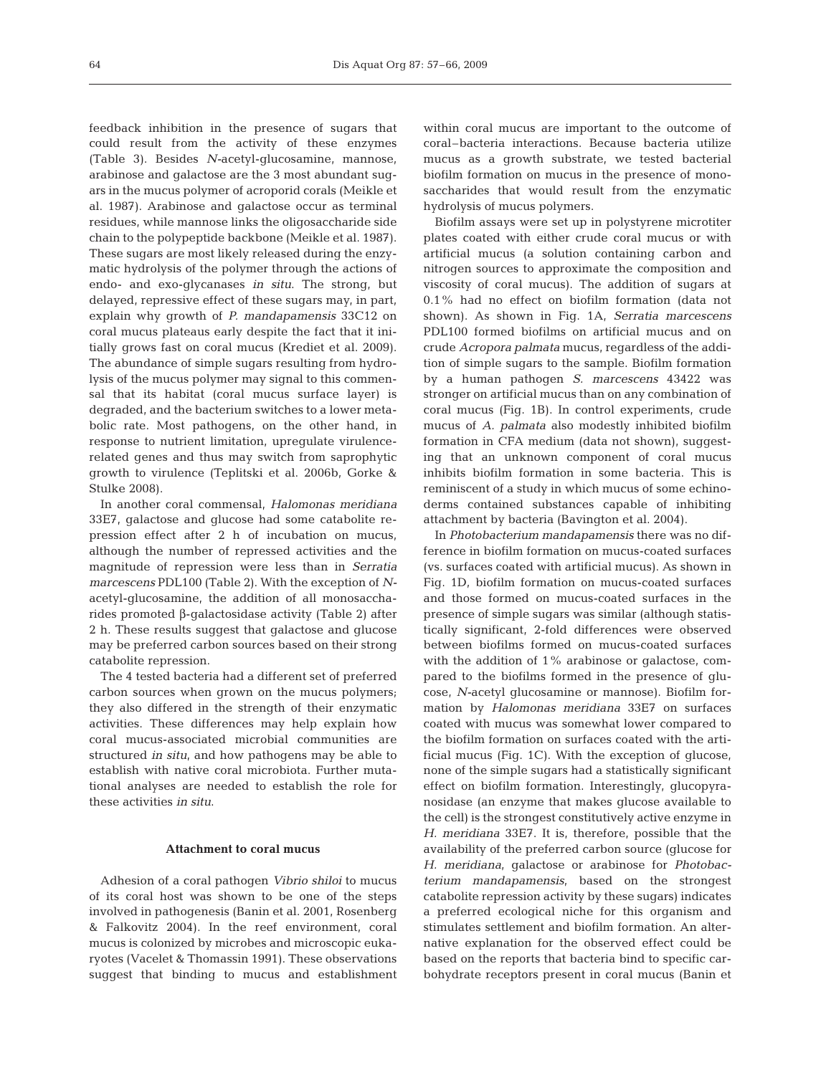feedback inhibition in the presence of sugars that could result from the activity of these enzymes (Table 3). Besides *N-*acetyl-glucosamine, mannose, arabinose and galactose are the 3 most abundant sugars in the mucus polymer of acroporid corals (Meikle et al. 1987). Arabinose and galactose occur as terminal residues, while mannose links the oligosaccharide side chain to the polypeptide backbone (Meikle et al. 1987). These sugars are most likely released during the enzymatic hydrolysis of the polymer through the actions of endo- and exo-glycanases *in situ*. The strong, but delayed, repressive effect of these sugars may, in part, explain why growth of *P. mandapamensis* 33C12 on coral mucus plateaus early despite the fact that it initially grows fast on coral mucus (Krediet et al. 2009). The abundance of simple sugars resulting from hydrolysis of the mucus polymer may signal to this commensal that its habitat (coral mucus surface layer) is degraded, and the bacterium switches to a lower metabolic rate. Most pathogens, on the other hand, in response to nutrient limitation, upregulate virulencerelated genes and thus may switch from saprophytic growth to virulence (Teplitski et al. 2006b, Gorke & Stulke 2008).

In another coral commensal, *Halomonas meridiana* 33E7, galactose and glucose had some catabolite repression effect after 2 h of incubation on mucus, although the number of repressed activities and the magnitude of repression were less than in *Serratia marcescens* PDL100 (Table 2). With the exception of *N*acetyl-glucosamine, the addition of all monosaccharides promoted β-galactosidase activity (Table 2) after 2 h. These results suggest that galactose and glucose may be preferred carbon sources based on their strong catabolite repression.

The 4 tested bacteria had a different set of preferred carbon sources when grown on the mucus polymers; they also differed in the strength of their enzymatic activities. These differences may help explain how coral mucus-associated microbial communities are structured *in situ*, and how pathogens may be able to establish with native coral microbiota. Further mutational analyses are needed to establish the role for these activities *in situ*.

### **Attachment to coral mucus**

Adhesion of a coral pathogen *Vibrio shiloi* to mucus of its coral host was shown to be one of the steps involved in pathogenesis (Banin et al. 2001, Rosenberg & Falkovitz 2004). In the reef environment, coral mucus is colonized by microbes and microscopic eukaryotes (Vacelet & Thomassin 1991). These observations suggest that binding to mucus and establishment

within coral mucus are important to the outcome of coral–bacteria interactions. Because bacteria utilize mucus as a growth substrate, we tested bacterial biofilm formation on mucus in the presence of monosaccharides that would result from the enzymatic hydrolysis of mucus polymers.

Biofilm assays were set up in polystyrene microtiter plates coated with either crude coral mucus or with artificial mucus (a solution containing carbon and nitrogen sources to approximate the composition and viscosity of coral mucus). The addition of sugars at 0.1% had no effect on biofilm formation (data not shown). As shown in Fig. 1A, *Serratia marcescens* PDL100 formed biofilms on artificial mucus and on crude *Acropora palmata* mucus, regardless of the addition of simple sugars to the sample. Biofilm formation by a human pathogen *S. marcescens* 43422 was stronger on artificial mucus than on any combination of coral mucus (Fig. 1B). In control experiments, crude mucus of *A. palmata* also modestly inhibited biofilm formation in CFA medium (data not shown), suggesting that an unknown component of coral mucus inhibits biofilm formation in some bacteria. This is reminiscent of a study in which mucus of some echinoderms contained substances capable of inhibiting attachment by bacteria (Bavington et al. 2004).

In *Photobacterium mandapamensis* there was no difference in biofilm formation on mucus-coated surfaces (vs. surfaces coated with artificial mucus). As shown in Fig. 1D, biofilm formation on mucus-coated surfaces and those formed on mucus-coated surfaces in the presence of simple sugars was similar (although statistically significant, 2-fold differences were observed between biofilms formed on mucus-coated surfaces with the addition of 1% arabinose or galactose, compared to the biofilms formed in the presence of glucose, *N-*acetyl glucosamine or mannose). Biofilm formation by *Halomonas meridiana* 33E7 on surfaces coated with mucus was somewhat lower compared to the biofilm formation on surfaces coated with the artificial mucus (Fig. 1C). With the exception of glucose, none of the simple sugars had a statistically significant effect on biofilm formation. Interestingly, glucopyranosidase (an enzyme that makes glucose available to the cell) is the strongest constitutively active enzyme in *H. meridiana* 33E7. It is, therefore, possible that the availability of the preferred carbon source (glucose for *H. meridiana*, galactose or arabinose for *Photobacterium mandapamensis*, based on the strongest catabolite repression activity by these sugars) indicates a preferred ecological niche for this organism and stimulates settlement and biofilm formation. An alternative explanation for the observed effect could be based on the reports that bacteria bind to specific carbohydrate receptors present in coral mucus (Banin et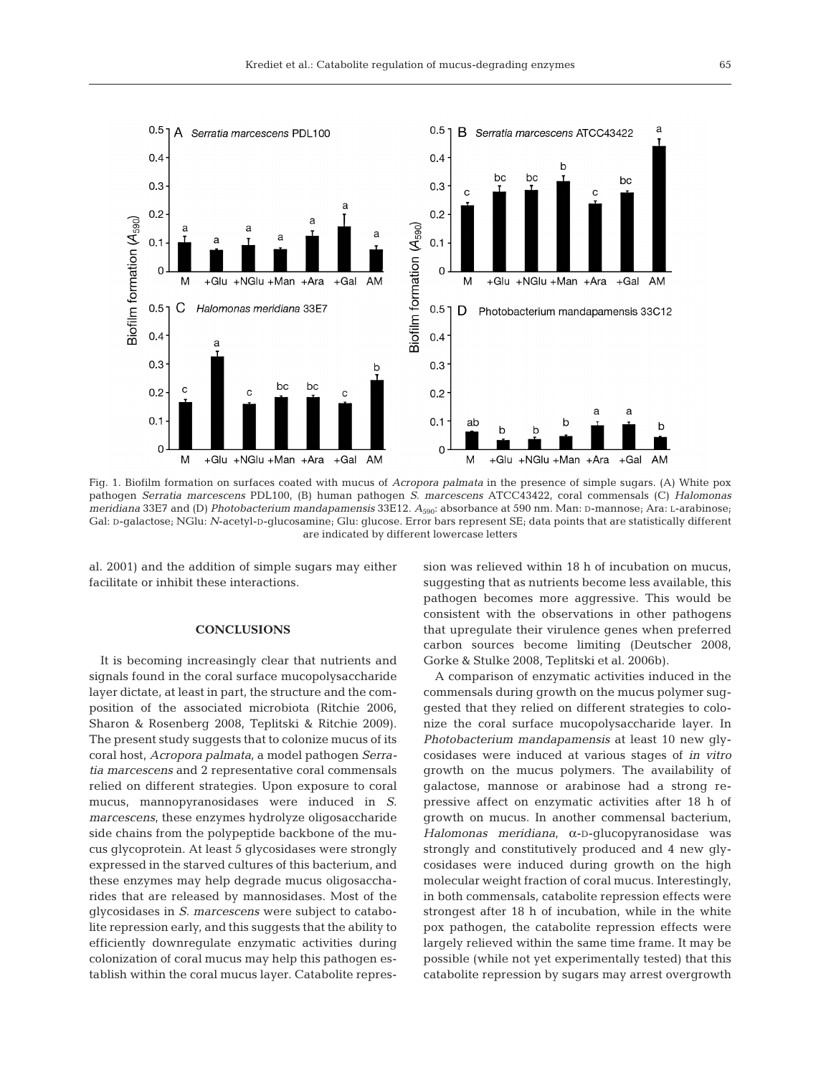

Fig. 1. Biofilm formation on surfaces coated with mucus of *Acropora palmata* in the presence of simple sugars. (A) White pox pathogen *Serratia marcescens* PDL100, (B) human pathogen *S. marcescens* ATCC43422, coral commensals (C) *Halomonas meridiana* 33E7 and (D) *Photobacterium mandapamensis* 33E12. *A*590: absorbance at 590 nm. Man: D-mannose; Ara: L-arabinose; Gal: D-galactose; NGlu: *N*-acetyl-D-glucosamine; Glu: glucose. Error bars represent SE; data points that are statistically different are indicated by different lowercase letters

al. 2001) and the addition of simple sugars may either facilitate or inhibit these interactions.

## **CONCLUSIONS**

It is becoming increasingly clear that nutrients and signals found in the coral surface mucopolysaccharide layer dictate, at least in part, the structure and the composition of the associated microbiota (Ritchie 2006, Sharon & Rosenberg 2008, Teplitski & Ritchie 2009). The present study suggests that to colonize mucus of its coral host, *Acropora palmata*, a model pathogen *Serratia marcescens* and 2 representative coral commensals relied on different strategies. Upon exposure to coral mucus, mannopyranosidases were induced in *S. marcescens*, these enzymes hydrolyze oligosaccharide side chains from the polypeptide backbone of the mucus glycoprotein. At least 5 glycosidases were strongly expressed in the starved cultures of this bacterium, and these enzymes may help degrade mucus oligosaccharides that are released by mannosidases. Most of the glycosidases in *S. marcescens* were subject to catabolite repression early, and this suggests that the ability to efficiently downregulate enzymatic activities during colonization of coral mucus may help this pathogen establish within the coral mucus layer. Catabolite repression was relieved within 18 h of incubation on mucus, suggesting that as nutrients become less available, this pathogen becomes more aggressive. This would be consistent with the observations in other pathogens that upregulate their virulence genes when preferred carbon sources become limiting (Deutscher 2008, Gorke & Stulke 2008, Teplitski et al. 2006b).

A comparison of enzymatic activities induced in the commensals during growth on the mucus polymer suggested that they relied on different strategies to colonize the coral surface mucopolysaccharide layer. In *Photobacterium mandapamensis* at least 10 new glycosidases were induced at various stages of *in vitro* growth on the mucus polymers. The availability of galactose, mannose or arabinose had a strong repressive affect on enzymatic activities after 18 h of growth on mucus. In another commensal bacterium, *Halomonas meridiana*, α-D-glucopyranosidase was strongly and constitutively produced and 4 new glycosidases were induced during growth on the high molecular weight fraction of coral mucus. Interestingly, in both commensals, catabolite repression effects were strongest after 18 h of incubation, while in the white pox pathogen, the catabolite repression effects were largely relieved within the same time frame. It may be possible (while not yet experimentally tested) that this catabolite repression by sugars may arrest overgrowth